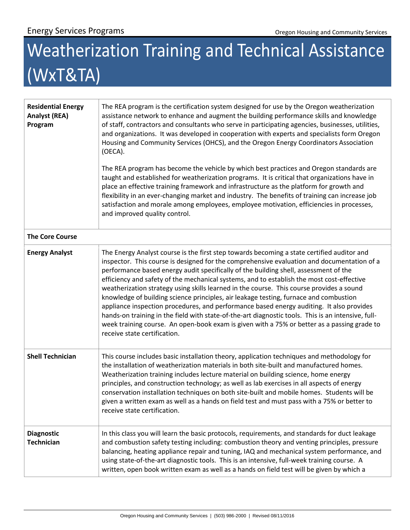## Weatherization Training and Technical Assistance (WxT&TA)

| <b>Residential Energy</b><br><b>Analyst (REA)</b><br>Program | The REA program is the certification system designed for use by the Oregon weatherization<br>assistance network to enhance and augment the building performance skills and knowledge<br>of staff, contractors and consultants who serve in participating agencies, businesses, utilities,<br>and organizations. It was developed in cooperation with experts and specialists form Oregon<br>Housing and Community Services (OHCS), and the Oregon Energy Coordinators Association<br>(OECA).<br>The REA program has become the vehicle by which best practices and Oregon standards are<br>taught and established for weatherization programs. It is critical that organizations have in<br>place an effective training framework and infrastructure as the platform for growth and<br>flexibility in an ever-changing market and industry. The benefits of training can increase job<br>satisfaction and morale among employees, employee motivation, efficiencies in processes,<br>and improved quality control. |
|--------------------------------------------------------------|--------------------------------------------------------------------------------------------------------------------------------------------------------------------------------------------------------------------------------------------------------------------------------------------------------------------------------------------------------------------------------------------------------------------------------------------------------------------------------------------------------------------------------------------------------------------------------------------------------------------------------------------------------------------------------------------------------------------------------------------------------------------------------------------------------------------------------------------------------------------------------------------------------------------------------------------------------------------------------------------------------------------|
| <b>The Core Course</b>                                       |                                                                                                                                                                                                                                                                                                                                                                                                                                                                                                                                                                                                                                                                                                                                                                                                                                                                                                                                                                                                                    |
| <b>Energy Analyst</b>                                        | The Energy Analyst course is the first step towards becoming a state certified auditor and<br>inspector. This course is designed for the comprehensive evaluation and documentation of a<br>performance based energy audit specifically of the building shell, assessment of the<br>efficiency and safety of the mechanical systems, and to establish the most cost-effective<br>weatherization strategy using skills learned in the course. This course provides a sound<br>knowledge of building science principles, air leakage testing, furnace and combustion<br>appliance inspection procedures, and performance based energy auditing. It also provides<br>hands-on training in the field with state-of-the-art diagnostic tools. This is an intensive, full-<br>week training course. An open-book exam is given with a 75% or better as a passing grade to<br>receive state certification.                                                                                                                |
| <b>Shell Technician</b>                                      | This course includes basic installation theory, application techniques and methodology for<br>the installation of weatherization materials in both site-built and manufactured homes.<br>Weatherization training includes lecture material on building science, home energy<br>principles, and construction technology; as well as lab exercises in all aspects of energy<br>conservation installation techniques on both site-built and mobile homes. Students will be<br>given a written exam as well as a hands on field test and must pass with a 75% or better to<br>receive state certification.                                                                                                                                                                                                                                                                                                                                                                                                             |
| <b>Diagnostic</b><br><b>Technician</b>                       | In this class you will learn the basic protocols, requirements, and standards for duct leakage<br>and combustion safety testing including: combustion theory and venting principles, pressure<br>balancing, heating appliance repair and tuning, IAQ and mechanical system performance, and<br>using state-of-the-art diagnostic tools. This is an intensive, full-week training course. A<br>written, open book written exam as well as a hands on field test will be given by which a                                                                                                                                                                                                                                                                                                                                                                                                                                                                                                                            |